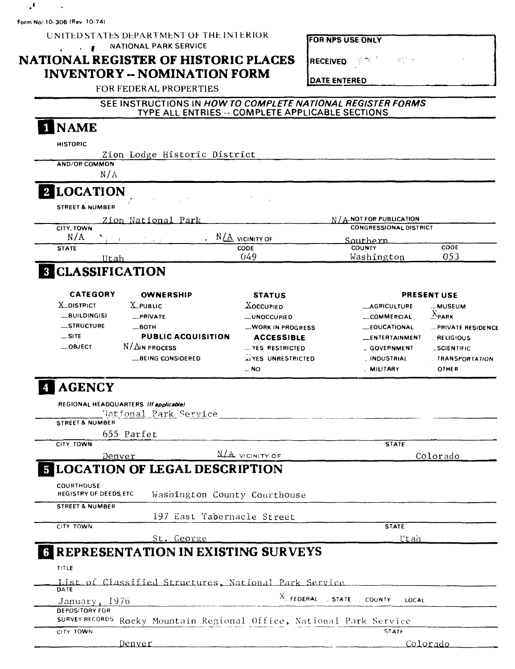$\hat{\mathbf{v}}$ Form No: 10-306 (Rev. 10-74)

 $\cdot$ 

## UNITED STATES DEPARTMENT OF THE INTERIOR V. F. MATIONAL PARK SERVICE

# NATIONAL REGISTER OF HISTORIC PLACES **INVENTORY -- NOMINATION FORM**

|  |  |  | FOR NPS USE ONLY |  |
|--|--|--|------------------|--|
|  |  |  |                  |  |
|  |  |  |                  |  |
|  |  |  |                  |  |
|  |  |  |                  |  |

RECEIVED **P** 

ser i

DATE ENTERED

| FOR FEDERAL PROPERTIES |  |
|------------------------|--|
|------------------------|--|

## SEE INSTRUCTIONS IN HOW TO COMPLETE NATIONAL REGISTER FORMS TYPE ALL ENTRIES -- COMPLETE APPLICABLE SECTIONS

# 1 NAME

|   | <b>HISTORIC</b>                        |                                                                      |                                |                                                           |                           |
|---|----------------------------------------|----------------------------------------------------------------------|--------------------------------|-----------------------------------------------------------|---------------------------|
|   |                                        | Zion Lodge Historic District                                         |                                |                                                           |                           |
|   | <b>AND/OR COMMON</b>                   |                                                                      |                                |                                                           |                           |
|   | N/A                                    |                                                                      |                                |                                                           |                           |
|   | 2 LOCATION                             |                                                                      |                                |                                                           |                           |
|   | <b>STREET &amp; NUMBER</b>             |                                                                      |                                |                                                           |                           |
|   |                                        |                                                                      |                                | $N / A$ NOT FOR PUBLICATION                               |                           |
|   | CITY, TOWN                             | <u>Zion National Park</u>                                            |                                | <b>CDNGRESSIONAL DISTRICT</b>                             |                           |
|   | N/A                                    |                                                                      | . $N\underline{A}$ vicinity of | Southern                                                  |                           |
|   | <b>STATE</b>                           |                                                                      | CODE                           | <b>COUNTY</b>                                             | <b>COOE</b>               |
|   | Utah                                   |                                                                      | 049                            | Washington                                                | 053                       |
|   | <b>8 CLASSIFICATION</b>                |                                                                      |                                |                                                           |                           |
|   |                                        |                                                                      |                                |                                                           |                           |
|   | CATEGORY                               | <b>OWNERSHIP</b>                                                     | <b>STATUS</b>                  |                                                           | <b>PRESENT USE</b>        |
|   | <b>X_DISTRICT</b>                      | <b>X</b> PUBLIC                                                      | <b>XOCCUPIED</b>               | <b>LAGRICULTURE</b>                                       | <b>MUSEUM</b>             |
|   | $-BULDING(S)$                          | _PRIVATE                                                             | <b>__UNOCCUPIED</b>            | COMMERCIAL                                                | $^{\Lambda}$ PARK         |
|   | _STRUCTURE                             | $-$ BOTH                                                             | -WORK IN PROGRESS              | _EOUCATIONAL                                              | <b>_PRIVATE RESIDENCE</b> |
|   | SITE                                   | <b>PUBLIC ACQUISITION</b>                                            | <b>ACCESSIBLE</b>              | ENTERTAINMENT                                             | . RELIGIOUS               |
|   | $\_$ OBJECT                            | N/AIN PROCESS                                                        | -YES RESTRICTED                | - GOVERNMENT                                              | <b>_SCIENTIFIC</b>        |
|   |                                        | <b>BEING CONSIDERED</b>                                              | AFES UNRESTRICTED              | <b>INDUSTRIAL</b>                                         | <b>TRANSPORTATION</b>     |
|   |                                        |                                                                      | $-$ NO                         | . MILITARY                                                | <b>OTHER</b>              |
|   | <b>AGENCY</b>                          | REGIONAL HEADQUARTERS (If applicable)                                |                                |                                                           |                           |
|   |                                        | National Park Service                                                |                                |                                                           |                           |
|   | STREET & NUMBER                        |                                                                      |                                |                                                           |                           |
|   |                                        | 655 Parfet                                                           |                                |                                                           |                           |
|   | CITY. TOWN                             |                                                                      |                                | <b>STATE</b>                                              |                           |
|   |                                        | Denver                                                               | N/A VICINITY OF                |                                                           | Colorado                  |
| 5 |                                        | <b>LOCATION OF LEGAL DESCRIPTION</b>                                 |                                |                                                           |                           |
|   | COURTHOUSE                             |                                                                      |                                |                                                           |                           |
|   | REGISTRY OF DEEDS, ETC                 | Washington County Courthouse                                         |                                |                                                           |                           |
|   | <b>STREET &amp; NUMBER</b>             |                                                                      |                                |                                                           |                           |
|   |                                        | 197 East Tabernacle Street                                           |                                |                                                           |                           |
|   | CITY TOWN                              |                                                                      |                                | <b>STATE</b>                                              |                           |
|   |                                        | St. George                                                           |                                | Utan                                                      |                           |
|   |                                        | <b>REPRESENTATION IN EXISTING SURVEYS</b>                            |                                |                                                           |                           |
|   | TITLE                                  |                                                                      |                                |                                                           |                           |
|   |                                        | List of Classified Structures, National Park Service                 |                                |                                                           |                           |
|   | DATE                                   |                                                                      |                                | $X_{\perp}$ FEDERAL $\perp$ STATE $\perp$ COUNTY<br>LOCAL |                           |
|   | January, 1976<br><b>DEPOSITORY FOR</b> |                                                                      |                                |                                                           |                           |
|   |                                        | SURVEY RECORDS Rocky Mountain Regional Office, National Park Service |                                |                                                           |                           |
|   | CITY TOWN                              |                                                                      |                                | STATE                                                     |                           |
|   |                                        | Denver                                                               |                                |                                                           | Colorado                  |
|   |                                        |                                                                      |                                |                                                           |                           |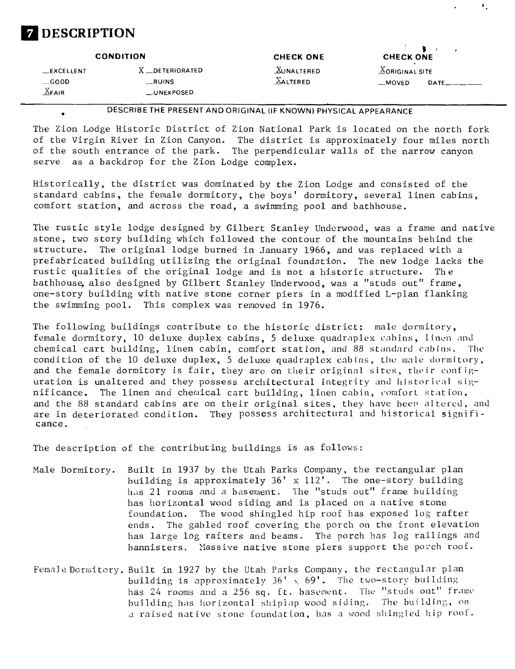

|                          | <b>CONDITION</b>       | <b>CHECK ONE</b>  | <b>CHECK ONE</b>              |       |
|--------------------------|------------------------|-------------------|-------------------------------|-------|
| $\_$ EXCELLENT           | X _DETERIORATED        | <b>XUNALTERED</b> | $\underline{X}$ ORIGINAL SITE |       |
| $\_\$ {G00D}<br>$X$ FAIR | __RUINS<br>__UNEXPOSED | <b>AALTERED</b>   | _MOVED                        | DATE_ |

٠.

DESCRIBE THE PRESENT AND ORIGINAL (IF KNOWN) PHYSICAL APPEARANCE

The Zion Lodge Historic District of Zion National Park is located on the north fork of the Virgin River in Zion Canyon. The district is approximately four miles north of the south entrance of the park. The perpendicular walls of the narrow canyon serve as a backdrop for the Zion Lodge complex.

Historically, the district was dominated by the Zion Lodge and consisted of the standard cabins, the female dormitory, the boys' dormitory, several linen cabins, comfort station, and across the road, a swimming pool and bathhouse.

The rustic style lodge designed by Gilbert Stanley Underwood, was a frame and native stone, two story building which followed the contour of the mountains behind the structure. The original lodge burned in January 1966, and was replaced with a prefabricated building utilizing the original foundation. The new lodge lacks the rustic qualities of the original lodge and is not a historic structure. The bathhouse, also designed by Gilbert Stanley Underwood, was a "studs out" frame, one-story building with native stone corner piers in a modified L-plan flanking the swimming pool. This complex was removed in 1976.

The following buildings contribute to the historic district: male dormitory, female dormitory, 10 deluxe duplex cabins, 5 deluxe quadraplex cabins, linen and chemical cart building, linen cabin, comfort station, and 88 standard cabins. The condition of the 10 deluxe duplex, 5 deluxe quadraplex cabins, the male dormitory, and the female dormitory is fair, they are on their original sites, their configuration is unaltered and they possess architectural integrity and historical significance. The linen and chemical cart building, linen cabin, comfort station, and the 88 standard cabins are on their original sites, they have beep altered, and are in deteriorated condition. They possess architectural and historical significance.

The description of the contributing buildings is as follows:

- Male Dormitory. Built in 1937 by the Utah Parks Company, the rectangular plan building is approximately 36' x 112'. The one-story building has 21 rooms and a basement. The "studs out" frame building has horizontal wood siding and is placed on a native stone foundation. The wood shingled hip roof has exposed log rafter ends. The gabled roof covering the porch on the front elevation has large log rafters and beams. The porch has log railings and bannisters. Massive native stone piers support the porch roof.
- Female Dormitory. Built in 1927 by the Utah Parks Company, the rectangular plan building is approximately  $36' \times 69'$ . The two-story building has 24 rooms and a 256 sq. ft. basement. The "studs out" frame building has horizontal shipiap wood siding. The building, on a raised native stone foundation, has a wood shingled hip roof.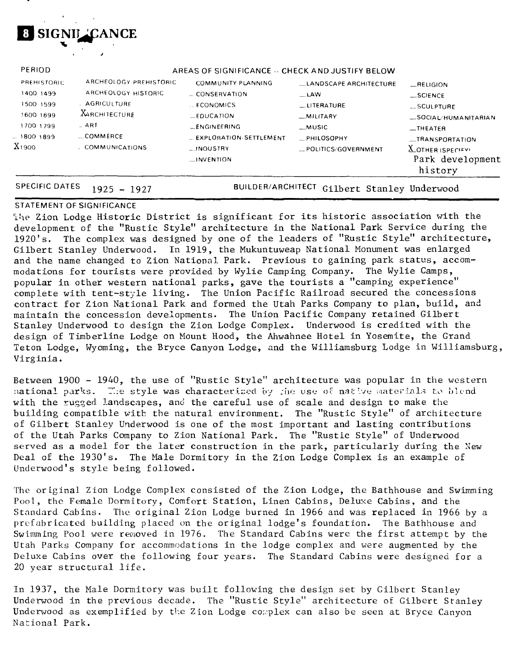

| PERIOD            |                        | AREAS OF SIGNIFICANCE -- CHECK AND JUSTIFY BELOW |                               |                         |
|-------------------|------------------------|--------------------------------------------------|-------------------------------|-------------------------|
| PREHISTORIC       | ARCHEOLOGY PREHISTORIC | <b>COMMUNITY PLANNING</b>                        | <b>LANDSCAPE ARCHITECTURE</b> | $-$ RELIGION            |
| 1400 1499         | ARCHEOLOGY HISTORIC    | $=$ CONSERVATION                                 | $\sim$ LAW                    | $-$ SCIENCE             |
| 1500 1599         | . AGRICULTURF          | <b>LECONOMICS</b>                                | $_{\dots}$ LITERATURE         | $\_$ SCULPTURE          |
| 1600 1699         | <b>XARCHITECTURE</b>   | $EDUCA$ TION                                     | $-MILITARY$                   | $-$ SOCIAL/HUMANITARIAN |
| 1700 1799         | $-$ ART                | LENGINEERING                                     | $_M$ usic                     | $-$ THEATER             |
| - 1800 1899       | $$ COMMERCE            | - EXPLORATION SETTLEMENT                         | PHILOSOPHY.                   | _TRANSPORTATION         |
| X <sub>1900</sub> | - COMMUNICATIONS       | <b>LINOUSTRY</b>                                 | POLITICS/GOVERNMENT           | $\chi$ OTHER (SPECIFY)  |
|                   |                        | $\Box$ INVENTION                                 |                               | Park development        |
|                   |                        |                                                  |                               | history                 |

SPECIFIC DATES 1925 - 1927 BUILDER/ARCHITECT Gilbert Stanley Underwood

### STATEMENT OF SIGNIFICANCE

ihe Zion Lodge Historic District is significant for its historic association with the development of the "Rustic Style" architecture in the National Park Service during the 1920's. The complex was designed by one of the leaders of "Rustic Style" architecture, Gilbert Stanley Underwood. In 1919, the Mukuntuweap National Monument was enlarged and the name changed to Zion National Park. Previous to gaining park status, accommodations for tourists were provided by Wylie Camping Company. The Wylie Camps, popular in other western national parks, gave the tourists a "camping experience" complete with tent-style living. The Union Pacific Railroad secured the concessions contract for Zion National Park and formed the Utah Parks Company to plan, build, and maintain the concession developments. The Union Pacific Company retained Gilbert Stanley Underwood to design the Zion Lodge Complex. Underwood is credited with the design of Timberline Lodge on Mount Hood, the Ahwahnee Hotel in Yosemite, the Grand Teton Lodge, Wyoming, the Bryce Canyon Lodge, and the Williamsburg Lodge in Williamsburg, Virginia.

Between 1900 - 1940, the use of "Rustic Style" architecture was popular in the western national parks. The style was characterized by the use of native materials to blend with the rugged landscapes, and the careful use of scale and design to make the building compatible with the natural environment. The "Rustic Style" of architecture of Gilbert Stanley Underwood is one of the most important and lasting contributions of the Utah Parks Company to Zion National Park. The "Rustic Style" of Underwood served as a model for the later construction in the park, particularly during the New Deal of the 1930's. The Male Dormitory in the Zion Lodge Complex is an example of Underwood's style being followed.

The original Zion Lodge Complex consisted of the Zion Lodge, the Bathhouse and Swimming Pool, the Female Dormitory, Comfort Station, Linen Cabins, Deluxe Cabins, and the Standard Cabins. The original Zion Lodge burned in 1966 and was replaced in 1966 by a prefabricated building placed on the original lodge's foundation. The Bathhouse and Swimming Pool were removed in 1976. The Standard Cabins were the first attempt by the Utah Parks Company for accommodations in the lodge complex and were augmented by the Deluxe Cabins over the following four years. The Standard Cabins were designed for a 20 year structural life.

In 1937, the Male Dormitory was built following the design set by Gilbert Stanley Underwood in the previous decade. The "Rustic Style" architecture of Gilbert Stanley Underwood as exemplified by the Zion Lodge complex can also be seen at Bryce Canyon National Park.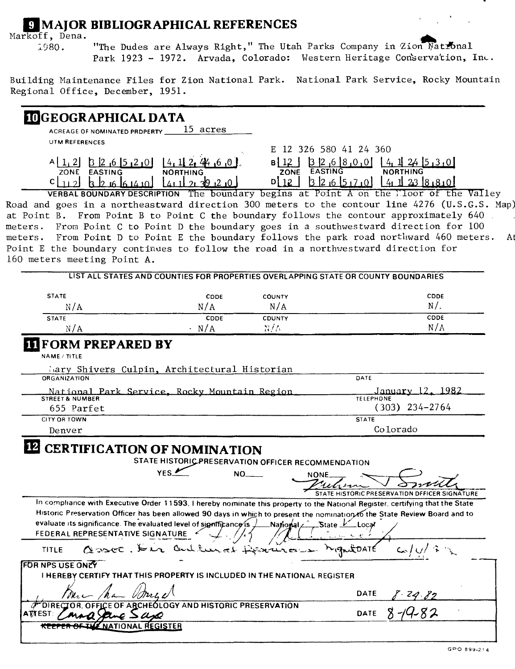# **Q** MAJOR BIBLIOGRAPHICAL REFERENCES

Markoff, Dena.

1980. "The Dudes are Always Right," The Utah Parks Company in Zion Matronal Park 1923 - 1972. Arvada, Colorado: Western Heritage Conservation, Inc.

Building Maintenance Files for Zion National Park. National Park Service, Rocky Mountain Regional Office, December, 1951.

#### GEOGRAPHICAL DATA **ACREAGE OF NOMINATED PROPERTY .**  15 acres **UTM REFERENCES** E 12 326 580 41 24 360 A [1.2] B 2 6 5 2 0  $[4, 1]$   $2, 4$ , 6 0  $\frac{12}{20}$   $\frac{3}{2}$   $\frac{26}{8}$   $\frac{800}{1}$   $\frac{14}{1}$   $\frac{1}{24}$   $\frac{5}{3}$   $\frac{30}{10}$ **ZONE EASTING** NORTHING **ZONE EASTING NORTHING h I? Ift Ift IA ml 0\ 12 I 13 12 .6 I5i7i0l I 4i ll 2i3 I**  $c \mid 112$  $14112820$

VERBAL BOUNDARY DESCRIPTION The boundary begins at Point A on the Tloor of the Valley Road and goes in a northeastward direction 300 meters to the contour line 4276 (U.S.G.S. Map) at Point B. From Point B to Point C the boundary follows the contour approximately 640 meters. From Point C to Point D the boundary goes in a southwestward direction for 100 meters. From Point D to Point E the boundary follows the park road northward 460 meters. At Point E the boundary continues to follow the road in a northwestward direction for 160 meters meeting Point A.

| <b>STATE</b>                                                            | <b>CDDE</b>                                                                                                    | COUNTY                                                    | CDDE                                                                                                                                                                                                                                                        |
|-------------------------------------------------------------------------|----------------------------------------------------------------------------------------------------------------|-----------------------------------------------------------|-------------------------------------------------------------------------------------------------------------------------------------------------------------------------------------------------------------------------------------------------------------|
| N/A                                                                     | N/A                                                                                                            | N/A                                                       | $N/$ .                                                                                                                                                                                                                                                      |
| <b>STATE</b>                                                            | CDDE                                                                                                           | <b>CDUNTY</b>                                             | <b>CDDE</b>                                                                                                                                                                                                                                                 |
| N/A                                                                     | · N/A                                                                                                          | R/R                                                       | N/A                                                                                                                                                                                                                                                         |
| <b>TIFORM PREPARED BY</b>                                               |                                                                                                                |                                                           |                                                                                                                                                                                                                                                             |
| <b>NAME / TITLE</b>                                                     |                                                                                                                |                                                           |                                                                                                                                                                                                                                                             |
|                                                                         | Mary Shivers Culpin, Architectural Historian                                                                   |                                                           |                                                                                                                                                                                                                                                             |
| <b>ORGANIZATION</b>                                                     |                                                                                                                |                                                           | DATE                                                                                                                                                                                                                                                        |
| <b>STREET &amp; NUMBER</b>                                              | National Park Service, Rocky Mountain Region                                                                   |                                                           | January 12, 1982<br><b>TELEPHONE</b>                                                                                                                                                                                                                        |
| 655 Parfet                                                              |                                                                                                                |                                                           | $(303)$ 234-2764                                                                                                                                                                                                                                            |
| <b>CITY OR TOWN</b>                                                     |                                                                                                                |                                                           | <b>STATE</b>                                                                                                                                                                                                                                                |
|                                                                         |                                                                                                                |                                                           |                                                                                                                                                                                                                                                             |
| Denver                                                                  | <b>CERTIFICATION OF NOMINATION</b><br>STATE HISTORIC PRESERVATION OFFICER RECOMMENDATION<br>YES $\overline{V}$ | NO.<br>NONE.                                              | Colorado                                                                                                                                                                                                                                                    |
|                                                                         |                                                                                                                |                                                           |                                                                                                                                                                                                                                                             |
|                                                                         |                                                                                                                |                                                           |                                                                                                                                                                                                                                                             |
|                                                                         |                                                                                                                |                                                           | STATE HISTORIC PRESERVATION DEFICER SIGNATURE                                                                                                                                                                                                               |
|                                                                         |                                                                                                                |                                                           |                                                                                                                                                                                                                                                             |
|                                                                         |                                                                                                                |                                                           |                                                                                                                                                                                                                                                             |
| evaluate its significance. The evaluated level of significance is $\pm$ |                                                                                                                | $\frac{1}{2}$ National $\angle$ State $\frac{1}{2}$ Local |                                                                                                                                                                                                                                                             |
| FEDERAL REPRESENTATIVE SIGNATURE 6                                      |                                                                                                                |                                                           | In compliance with Executive Order 11593, I hereby nominate this property to the National Register, certifying that the State<br>Historic Preservation Officer has been allowed 90 days in which to present the nomination to the State Review Board and to |
| TITLE                                                                   | assoc. Dir autunal Desiras                                                                                     |                                                           | <b>MIGALTOATE</b>                                                                                                                                                                                                                                           |
| <b>FOR NPS USE ONLY</b>                                                 |                                                                                                                |                                                           |                                                                                                                                                                                                                                                             |
|                                                                         | <b>I HEREBY CERTIFY THAT THIS PROPERTY IS INCLUDED IN THE NATIONAL REGISTER</b>                                |                                                           |                                                                                                                                                                                                                                                             |
| <b>DIRF</b>                                                             | <b>ARCHEOLOGY AND HISTORIC PRESERVATION</b>                                                                    |                                                           | <b>DATE</b>                                                                                                                                                                                                                                                 |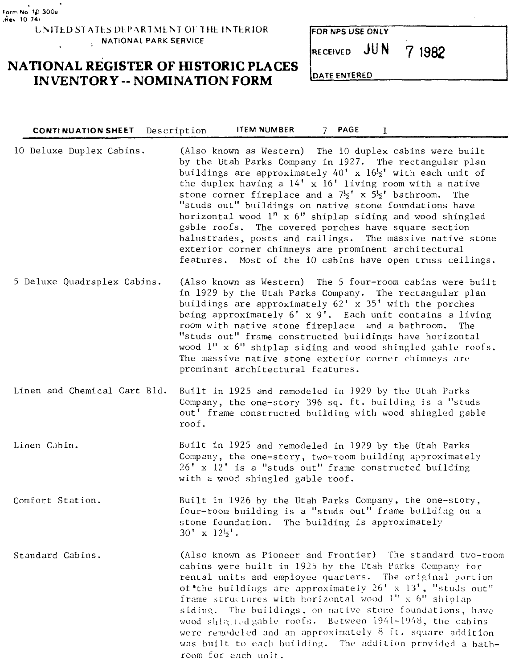**LNITED STATES DEPARTMENT OF THE INTERIOR . NATIONAL PARK SERVICE**  $\ddot{\phantom{a}}$ 

## **NATIONAL REGISTER OF HISTORIC PLACES INVENTORY - NOMINATION FORM**

**CONTINUATION SHEET Description ITEM NUMBER 7 PAGE**

|  |  |  |  | FOR NPS USE ONLY |  |
|--|--|--|--|------------------|--|
|--|--|--|--|------------------|--|

**71982**

**RECEIVED JUN**

**[DATE ENTERED**

 $\mathbf{1}$ 

| 10 Deluxe Duplex Cabins.     | (Also known as Western) The 10 duplex cabins were built<br>by the Utah Parks Company in 1927. The rectangular plan<br>buildings are approximately $40'$ x $16\frac{1}{2}$ with each unit of<br>the duplex having a $14'$ x $16'$ living room with a native<br>stone corner fireplace and a $7\frac{1}{2}$ <sup>t</sup> x $5\frac{1}{2}$ <sup>t</sup> bathroom. The<br>"studs out" buildings on native stone foundations have<br>horizontal wood l" x 6" shiplap siding and wood shingled<br>gable roofs. The covered porches have square section<br>balustrades, posts and railings. The massive native stone<br>exterior corner chimneys are prominent architectural<br>features. Most of the 10 cabins have open truss ceilings. |
|------------------------------|------------------------------------------------------------------------------------------------------------------------------------------------------------------------------------------------------------------------------------------------------------------------------------------------------------------------------------------------------------------------------------------------------------------------------------------------------------------------------------------------------------------------------------------------------------------------------------------------------------------------------------------------------------------------------------------------------------------------------------|
| 5 Deluxe Quadraplex Cabins.  | (Also known as Western) The 5 four-room cabins were built<br>in 1929 by the Utah Parks Company. The rectangular plan<br>buildings are approximately 62' x 35' with the porches<br>being approximately 6' x 9'. Each unit contains a living<br>room with native stone fireplace and a bathroom.<br>The<br>"studs out" frame constructed buildings have horizontal<br>wood 1" x 6" shiplap siding and wood shingled gable roofs.<br>The massive native stone exterior corner chimneys are<br>prominant architectural features.                                                                                                                                                                                                       |
| Linen and Chemical Cart Bld. | Built in 1925 and remodeled in 1929 by the Utah Parks<br>Company, the one-story 396 sq. ft. building is a "studs<br>out' frame constructed building with wood shingled gable<br>roof.                                                                                                                                                                                                                                                                                                                                                                                                                                                                                                                                              |
| Linen Cabin.                 | Built in 1925 and remodeled in 1929 by the Utah Parks<br>Company, the one-story, two-room building approximately<br>26' x 12' is a "studs out" frame constructed building<br>with a wood shingled gable roof.                                                                                                                                                                                                                                                                                                                                                                                                                                                                                                                      |
| Comfort Station.             | Built in 1926 by the Utah Parks Company, the one-story,<br>four-room building is a "studs out" frame building on a<br>stone foundation. The building is approximately<br>$30' \times 12\frac{1}{2}$ .                                                                                                                                                                                                                                                                                                                                                                                                                                                                                                                              |
| Standard Cabins.             | (Also known as Pioneer and Frontier) The standard two-room<br>cabins were built in 1925 by the Utah Parks Company for<br>rental units and employee quarters. The original portion<br>of the buildings are approximately $26' \times 13'$ , "studs out"<br>frame structures with horizontal wood $1'' \times 6''$ shiplap<br>siding. The buildings, on native stone foundations, have<br>wood shingled gable roofs. Between 1941-1948, the cabins<br>were remodeled and an approximately 8 ft. square addition<br>was built to each building. The addition provided a bath-<br>room for each unit.                                                                                                                                  |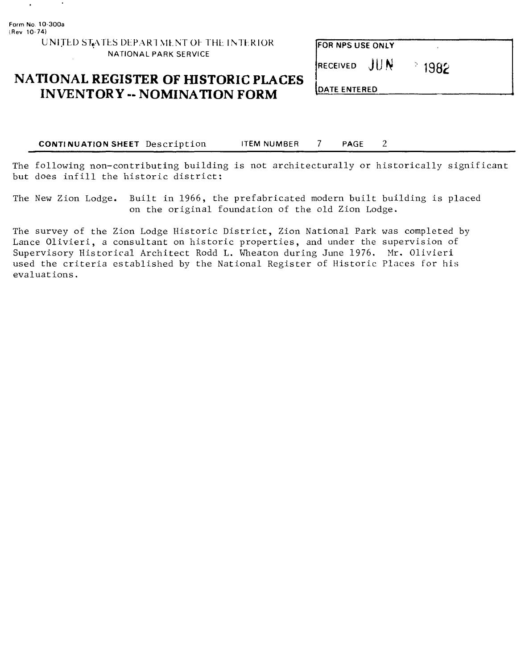$\ddot{\phantom{a}}$ 

## UNITED STATES DEPARTMENT OF THE INTERIOR NATIONAL PARK SERVICE

## **NATIONAL REGISTER OF HISTORIC PLACES INVENTORY - NOMINATION FORM**

| FOR NPS USE ONLY |                 |  |
|------------------|-----------------|--|
| RECEIVED JUN     | $^{\circ}$ 1982 |  |

DATE ENTERED

**CONTINUATION SHEET** Description ITEM NUMBER 7 PAGE 2

The following non-contributing building is not architecturally or historically significant but does infill the historic district:

The New Zion Lodge. Built in 1966, the prefabricated modern built building is placed on the original foundation of the old Zion Lodge.

The survey of the Zion Lodge Historic District, Zion National Park was completed by Lance Olivieri, a consultant on historic properties, and under the supervision of Supervisory Historical Architect Rodd L. Wheaton during June 1976. Mr. Olivieri used the criteria established by the National Register of Historic Places for his evaluations.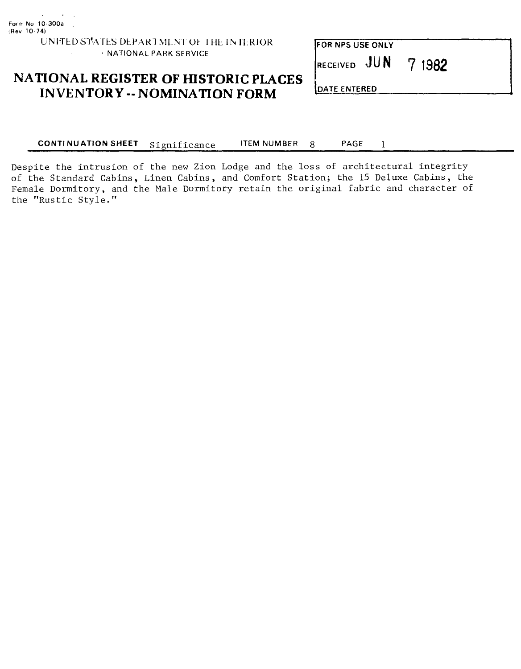#### UNITED STATES DEPARTMENT OF THE INTERIOR  $\mathbf{r}$ • NATIONAL PARK SERVICE

FOR NPS USE ONLY

RECEIVED **JUN 1982**

## **NATIONAL REGISTER OF HISTORIC PLACES INVENTORY - NOMINATION FORM**

DATE ENTERED

CONTINUATION SHEET Significance ITEM NUMBER 8 PAGE 1

Despite the intrusion of the new Zion Lodge and the loss of architectural integrity of the Standard Cabins, Linen Cabins, and Comfort Station; the 15 Deluxe Cabins, the Female Dormitory, and the Male Dormitory retain the original fabric and character of the "Rustic Style."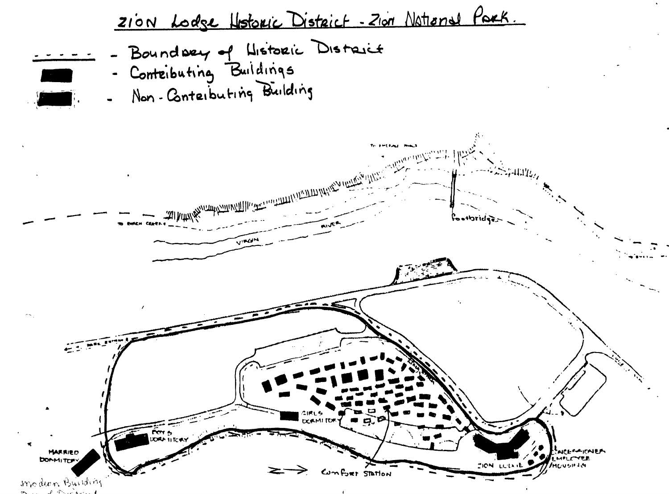

 $\mathcal{L}$  . The space of the second  $\mathcal{L}$